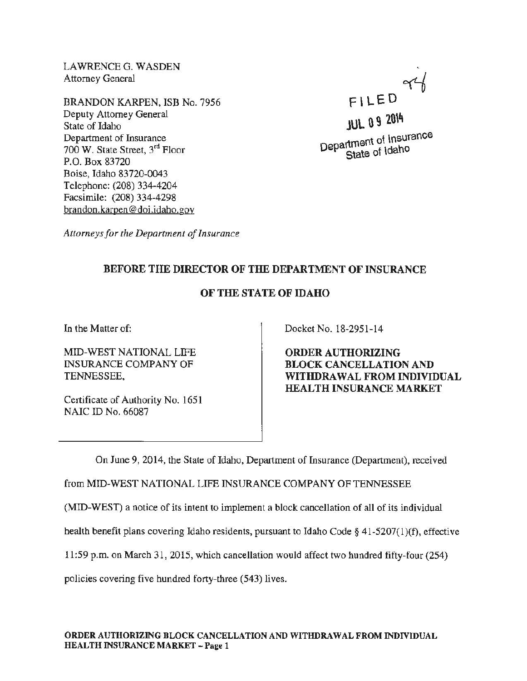LAWRENCEG. WASDEN Attorney General

BRANDON KARPEN, ISB No. 7956 Deputy Attorney General State of Idaho Department of Insurance 700 W. State Street, 3rd Floor P.O. Box 83720 Boise, Idaho 83720-0043 Telephone: (208) 334-4204 Facsimile: (208) 334-4298 brandon.karpen@ doi.idaho.gov

FILED 94

JUL 0 9 2014 Department of Insurance State of Idaho

*Attorneys for the Department of Insurance* 

## BEFORE THE DIRECTOR OF THE DEPARTMENT OF INSURANCE

## OF THE STATE OF IDAHO

In the Matter of:

MID-WEST NATIONAL LIFE INSURANCE COMPANY OF TENNESSEE,

Certificate of Authority No. 1651 NAIC ID No. 66087

Docket No. 18-2951-14

ORDER AUTHORIZING BLOCK CANCELLATION AND WITHDRAWAL FROM INDIVIDUAL HEALTH INSURANCE MARKET

On June 9, 2014, the State of Idaho, Department of Insurance (Department), received

from MID-WEST NATIONAL LIFE INSURANCE COMPANY OF TENNESSEE

(MID-WEST) a notice of its intent to implement a block cancellation of all of its individual

health benefit plans covering Idaho residents, pursuant to Idaho Code§ 41-5207(1)(f), effective

11:59 p.m. on March 31, 2015, which cancellation would affect two hundred fifty-four (254)

policies covering five hundred forty-three (543) lives.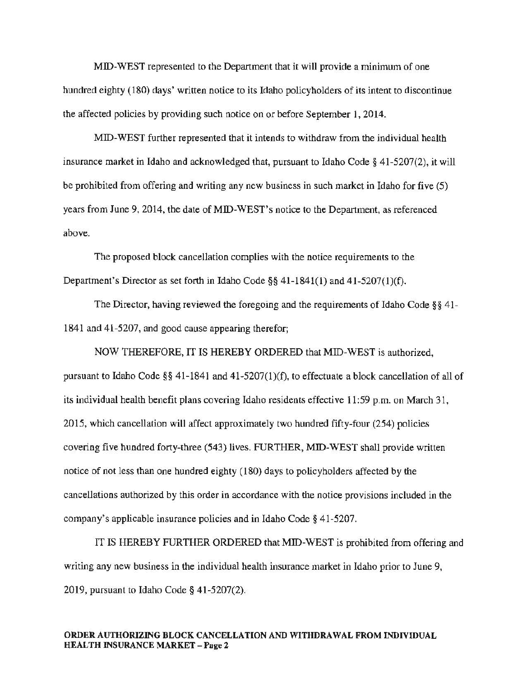MID-WEST represented to the Department that it will provide a minimum of one hundred eighty (180) days' written notice to its Idaho policyholders of its intent to discontinue the affected policies by providing such notice on or before September 1, 2014.

MID-WEST further represented that it intends to withdraw from the individual health insurance market in Idaho and acknowledged that, pursuant to Idaho Code§ 41-5207(2), it will be prohibited from offering and writing any new business in such market in Idaho for five (5) years from June 9, 2014, the date of MID-WEST's notice to the Department, as referenced above.

The proposed block cancellation complies with the notice requirements to the Department's Director as set forth in Idaho Code §§  $41-1841(1)$  and  $41-5207(1)(f)$ .

The Director, having reviewed the foregoing and the requirements of Idaho Code§§ 41- 1841 and 41-5207, and good cause appearing therefor;

NOW THEREFORE, IT IS HEREBY ORDERED that MID-WEST is authorized, pursuant to Idaho Code§§ 41-1841 and 41-5207(1)(f), to effectuate a block cancellation of all of its individual health benefit plans covering Idaho residents effective 11:59 p.m. on March 31, 2015, which cancellation will affect approximately two hundred fifty-four (254) policies covering five hundred forty-three (543) lives. FURTHER, MID-WEST shall provide written notice of not less than one hundred eighty ( 180) days to policyholders affected by the cancellations authorized by this order in accordance with the notice provisions included in the company's applicable insurance policies and in Idaho Code§ 41-5207.

IT IS HEREBY FURTHER ORDERED that MID-WEST is prohibited from offering and writing any new business in the individual health insurance market in Idaho prior to June 9, 2019, pursuant to Idaho Code§ 41-5207(2).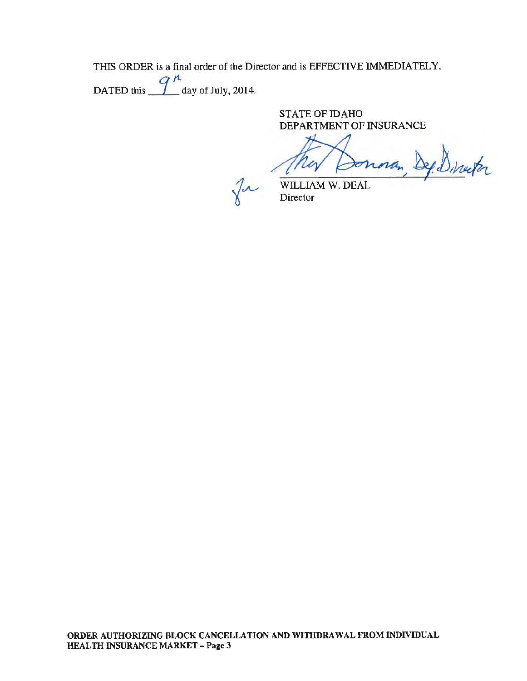THIS ORDER is a final order of the Director and is EFFECTIVE IMMEDIATELY.

DATED this  $\frac{q^{\mu}}{q}$  day of July, 2014.

STATE OF IDAHO DEPARTMENT OF INSURANCE

Dep Director

 $\int$ 

WILLIAM W. DEAL Director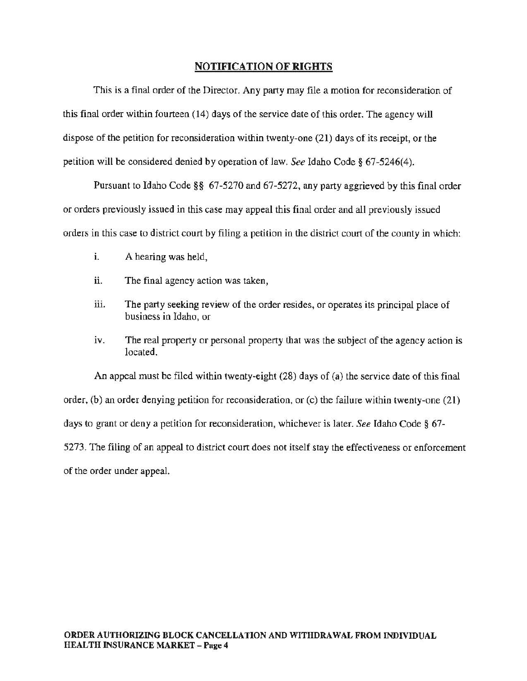## NOTIFICATION OF RIGHTS

This is a final order of the Director. Any party may file a motion for reconsideration of this final order within fourteen (14) days of the service date of this order. The agency will dispose of the petition for reconsideration within twenty-one (21) days of its receipt, or the petition will be considered denied by operation of law. *See* Idaho Code§ 67-5246(4).

Pursuant to Idaho Code§§ 67-5270 and 67-5272, any party aggrieved by this final order or orders previously issued in this case may appeal this final order and all previously issued orders in this case to district court by filing a petition in the district court of the county in which:

- i. A hearing was held,
- ii. The final agency action was taken,
- iii. The party seeking review of the order resides, or operates its principal place of business in Idaho, or
- iv. The real property or personal property that was the subject of the agency action is located.

An appeal must be filed within twenty-eight (28) days of (a) the service date of this final order, (b) an order denying petition for reconsideration, or (c) the failure within twenty-one (21) days to grant or deny a petition for reconsideration, whichever is later. *See* Idaho Code§ 67- 5273. The filing of an appeal to district court does not itself stay the effectiveness or enforcement of the order under appeal.